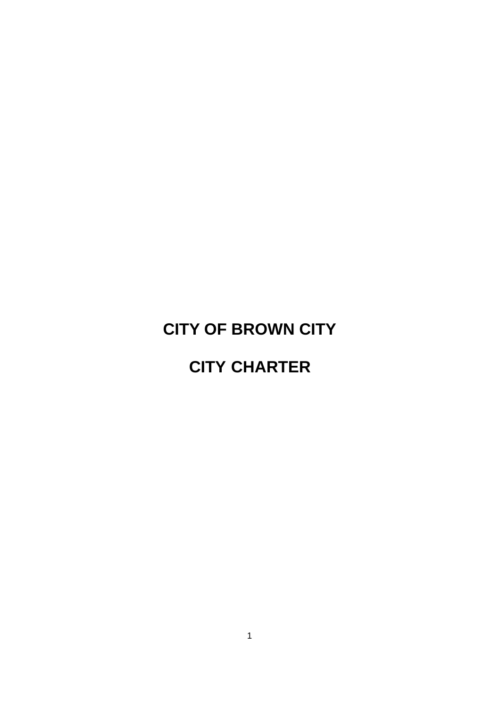# **CITY OF BROWN CITY**

# **CITY CHARTER**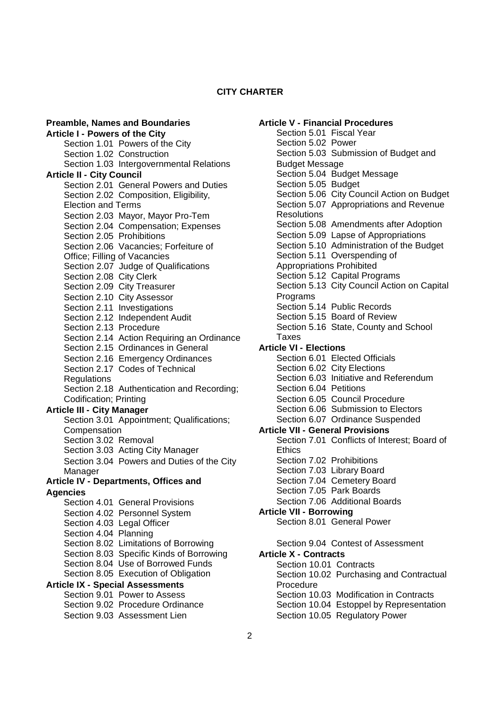## **CITY CHARTER**

**Preamble, Names and Boundaries Article I - Powers of the City** Section 1.01 Powers of the City Section 1.02 Construction Section 1.03 Intergovernmental Relations **Article II - City Council** Section 2.01 General Powers and Duties Section 2.02 Composition, Eligibility, Election and Terms Section 2.03 Mayor, Mayor Pro-Tem Section 2.04 Compensation; Expenses Section 2.05 Prohibitions Section 2.06 Vacancies; Forfeiture of Office; Filling of Vacancies Section 2.07 Judge of Qualifications Section 2.08 City Clerk Section 2.09 City Treasurer Section 2.10 City Assessor Section 2.11 Investigations Section 2.12 Independent Audit Section 2.13 Procedure Section 2.14 Action Requiring an Ordinance Section 2.15 Ordinances in General Section 2.16 Emergency Ordinances Section 2.17 Codes of Technical **Regulations** Section 2.18 Authentication and Recording; Codification; Printing **Article III - City Manager** Section 3.01 Appointment; Qualifications; Compensation Section 3.02 Removal Section 3.03 Acting City Manager Section 3.04 Powers and Duties of the City Manager **Article IV - Departments, Offices and Agencies** Section 4.01 General Provisions Section 4.02 Personnel System Section 4.03 Legal Officer Section 4.04 Planning Section 8.02 Limitations of Borrowing Section 8.03 Specific Kinds of Borrowing Section 8.04 Use of Borrowed Funds Section 8.05 Execution of Obligation **Article IX - Special Assessments** Section 9.01 Power to Assess Section 9.02 Procedure Ordinance Section 9.03 Assessment Lien

# **Article V - Financial Procedures**

Section 5.01 Fiscal Year Section 5.02 Power Section 5.03 Submission of Budget and Budget Message Section 5.04 Budget Message Section 5.05 Budget Section 5.06 City Council Action on Budget Section 5.07 Appropriations and Revenue Resolutions Section 5.08 Amendments after Adoption Section 5.09 Lapse of Appropriations Section 5.10 Administration of the Budget Section 5.11 Overspending of Appropriations Prohibited Section 5.12 Capital Programs Section 5.13 City Council Action on Capital Programs Section 5.14 Public Records Section 5.15 Board of Review Section 5.16 State, County and School **Taxes Article VI - Elections** Section 6.01 Elected Officials Section 6.02 City Elections Section 6.03 Initiative and Referendum Section 6.04 Petitions Section 6.05 Council Procedure Section 6.06 Submission to Electors Section 6.07 Ordinance Suspended **Article VII - General Provisions** Section 7.01 Conflicts of Interest; Board of **Ethics** Section 7.02 Prohibitions Section 7.03 Library Board Section 7.04 Cemetery Board Section 7.05 Park Boards Section 7.06 Additional Boards **Article VII - Borrowing** Section 8.01 General Power Section 9.04 Contest of Assessment **Article X - Contracts** Section 10.01 Contracts Section 10.02 Purchasing and Contractual **Procedure** Section 10.03 Modification in Contracts Section 10.04 Estoppel by Representation

Section 10.05 Regulatory Power

2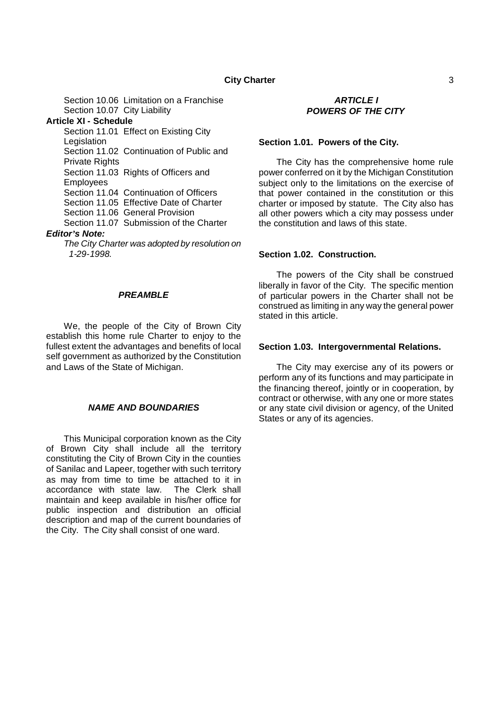# **City Charter** 3

Section 10.06 Limitation on a Franchise Section 10.07 City Liability

#### **Article XI - Schedule**

Section 11.01 Effect on Existing City **Legislation** 

Section 11.02 Continuation of Public and

Private Rights

Section 11.03 Rights of Officers and

Employees

Section 11.04 Continuation of Officers

Section 11.05 Effective Date of Charter

Section 11.06 General Provision

Section 11.07 Submission of the Charter

# *Editor's Note:*

*The City Charter was adopted by resolution on 1-29-1998.*

#### *PREAMBLE*

We, the people of the City of Brown City establish this home rule Charter to enjoy to the fullest extent the advantages and benefits of local self government as authorized by the Constitution and Laws of the State of Michigan.

## *NAME AND BOUNDARIES*

This Municipal corporation known as the City of Brown City shall include all the territory constituting the City of Brown City in the counties of Sanilac and Lapeer, together with such territory as may from time to time be attached to it in accordance with state law. The Clerk shall maintain and keep available in his/her office for public inspection and distribution an official description and map of the current boundaries of the City. The City shall consist of one ward.

# *ARTICLE I POWERS OF THE CITY*

# **Section 1.01. Powers of the City.**

The City has the comprehensive home rule power conferred on it by the Michigan Constitution subject only to the limitations on the exercise of that power contained in the constitution or this charter or imposed by statute. The City also has all other powers which a city may possess under the constitution and laws of this state.

# **Section 1.02. Construction.**

The powers of the City shall be construed liberally in favor of the City. The specific mention of particular powers in the Charter shall not be construed as limiting in any way the general power stated in this article.

## **Section 1.03. Intergovernmental Relations.**

The City may exercise any of its powers or perform any of its functions and may participate in the financing thereof, jointly or in cooperation, by contract or otherwise, with any one or more states or any state civil division or agency, of the United States or any of its agencies.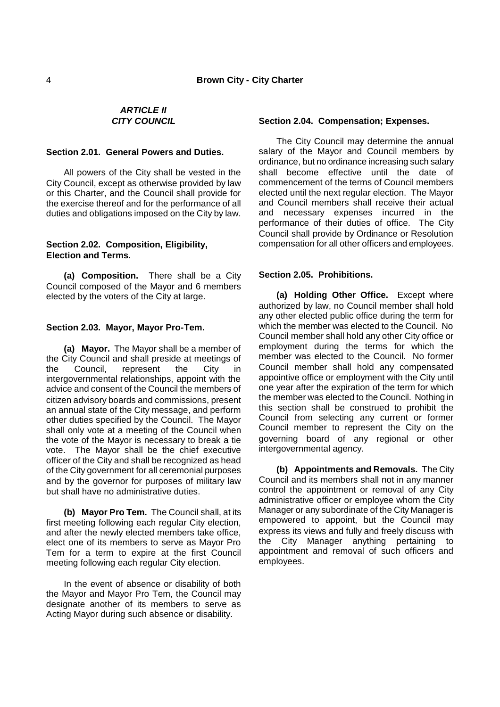# *ARTICLE II CITY COUNCIL*

# **Section 2.01. General Powers and Duties.**

All powers of the City shall be vested in the City Council, except as otherwise provided by law or this Charter, and the Council shall provide for the exercise thereof and for the performance of all duties and obligations imposed on the City by law.

# **Section 2.02. Composition, Eligibility, Election and Terms.**

**(a) Composition.** There shall be a City Council composed of the Mayor and 6 members elected by the voters of the City at large.

#### **Section 2.03. Mayor, Mayor Pro-Tem.**

**(a) Mayor.** The Mayor shall be a member of the City Council and shall preside at meetings of the Council, represent the City in intergovernmental relationships, appoint with the advice and consent of the Council the members of citizen advisory boards and commissions, present an annual state of the City message, and perform other duties specified by the Council. The Mayor shall only vote at a meeting of the Council when the vote of the Mayor is necessary to break a tie vote. The Mayor shall be the chief executive officer of the City and shall be recognized as head of the City government for all ceremonial purposes and by the governor for purposes of military law but shall have no administrative duties.

**(b) Mayor Pro Tem.** The Council shall, at its first meeting following each regular City election, and after the newly elected members take office, elect one of its members to serve as Mayor Pro Tem for a term to expire at the first Council meeting following each regular City election.

In the event of absence or disability of both the Mayor and Mayor Pro Tem, the Council may designate another of its members to serve as Acting Mayor during such absence or disability.

#### **Section 2.04. Compensation; Expenses.**

The City Council may determine the annual salary of the Mayor and Council members by ordinance, but no ordinance increasing such salary shall become effective until the date of commencement of the terms of Council members elected until the next regular election. The Mayor and Council members shall receive their actual and necessary expenses incurred in the performance of their duties of office. The City Council shall provide by Ordinance or Resolution compensation for all other officers and employees.

# **Section 2.05. Prohibitions.**

**(a) Holding Other Office.** Except where authorized by law, no Council member shall hold any other elected public office during the term for which the member was elected to the Council. No Council member shall hold any other City office or employment during the terms for which the member was elected to the Council. No former Council member shall hold any compensated appointive office or employment with the City until one year after the expiration of the term for which the member was elected to the Council. Nothing in this section shall be construed to prohibit the Council from selecting any current or former Council member to represent the City on the governing board of any regional or other intergovernmental agency.

**(b) Appointments and Removals.** The City Council and its members shall not in any manner control the appointment or removal of any City administrative officer or employee whom the City Manager or any subordinate of the City Manager is empowered to appoint, but the Council may express its views and fully and freely discuss with the City Manager anything pertaining to appointment and removal of such officers and employees.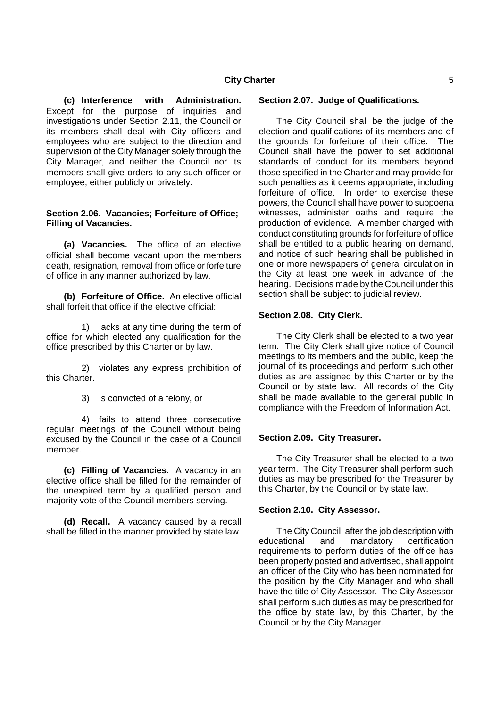**(c) Interference with Administration.** Except for the purpose of inquiries and investigations under Section 2.11, the Council or its members shall deal with City officers and employees who are subject to the direction and supervision of the City Manager solely through the City Manager, and neither the Council nor its members shall give orders to any such officer or employee, either publicly or privately.

## **Section 2.06. Vacancies; Forfeiture of Office; Filling of Vacancies.**

**(a) Vacancies.** The office of an elective official shall become vacant upon the members death, resignation, removal from office or forfeiture of office in any manner authorized by law.

**(b) Forfeiture of Office.** An elective official shall forfeit that office if the elective official:

1) lacks at any time during the term of office for which elected any qualification for the office prescribed by this Charter or by law.

2) violates any express prohibition of this Charter.

3) is convicted of a felony, or

4) fails to attend three consecutive regular meetings of the Council without being excused by the Council in the case of a Council member.

**(c) Filling of Vacancies.** A vacancy in an elective office shall be filled for the remainder of the unexpired term by a qualified person and majority vote of the Council members serving.

**(d) Recall.** A vacancy caused by a recall shall be filled in the manner provided by state law.

# **Section 2.07. Judge of Qualifications.**

The City Council shall be the judge of the election and qualifications of its members and of the grounds for forfeiture of their office. The Council shall have the power to set additional standards of conduct for its members beyond those specified in the Charter and may provide for such penalties as it deems appropriate, including forfeiture of office. In order to exercise these powers, the Council shall have power to subpoena witnesses, administer oaths and require the production of evidence. A member charged with conduct constituting grounds for forfeiture of office shall be entitled to a public hearing on demand, and notice of such hearing shall be published in one or more newspapers of general circulation in the City at least one week in advance of the hearing. Decisions made by the Council under this section shall be subject to judicial review.

#### **Section 2.08. City Clerk.**

The City Clerk shall be elected to a two year term. The City Clerk shall give notice of Council meetings to its members and the public, keep the journal of its proceedings and perform such other duties as are assigned by this Charter or by the Council or by state law. All records of the City shall be made available to the general public in compliance with the Freedom of Information Act.

## **Section 2.09. City Treasurer.**

The City Treasurer shall be elected to a two year term. The City Treasurer shall perform such duties as may be prescribed for the Treasurer by this Charter, by the Council or by state law.

#### **Section 2.10. City Assessor.**

The City Council, after the job description with educational and mandatory certification requirements to perform duties of the office has been properly posted and advertised, shall appoint an officer of the City who has been nominated for the position by the City Manager and who shall have the title of City Assessor. The City Assessor shall perform such duties as may be prescribed for the office by state law, by this Charter, by the Council or by the City Manager.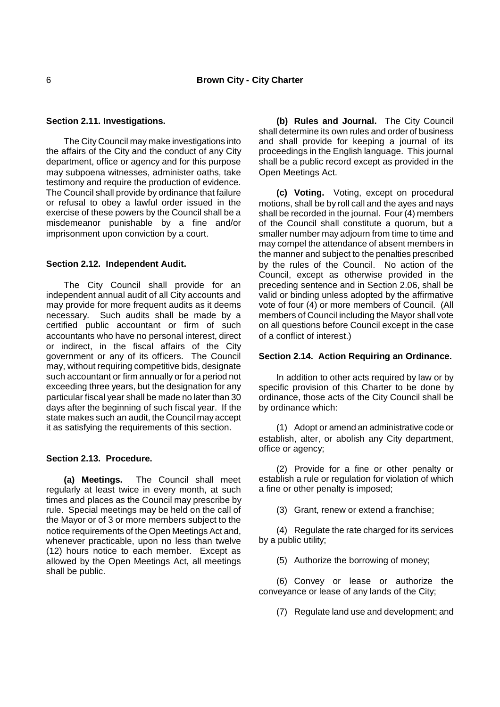# **Section 2.11. Investigations.**

The City Council may make investigations into the affairs of the City and the conduct of any City department, office or agency and for this purpose may subpoena witnesses, administer oaths, take testimony and require the production of evidence. The Council shall provide by ordinance that failure or refusal to obey a lawful order issued in the exercise of these powers by the Council shall be a misdemeanor punishable by a fine and/or imprisonment upon conviction by a court.

## **Section 2.12. Independent Audit.**

The City Council shall provide for an independent annual audit of all City accounts and may provide for more frequent audits as it deems necessary. Such audits shall be made by a certified public accountant or firm of such accountants who have no personal interest, direct or indirect, in the fiscal affairs of the City government or any of its officers. The Council may, without requiring competitive bids, designate such accountant or firm annually or for a period not exceeding three years, but the designation for any particular fiscal year shall be made no later than 30 days after the beginning of such fiscal year. If the state makes such an audit, the Council may accept it as satisfying the requirements of this section.

#### **Section 2.13. Procedure.**

**(a) Meetings.** The Council shall meet regularly at least twice in every month, at such times and places as the Council may prescribe by rule. Special meetings may be held on the call of the Mayor or of 3 or more members subject to the notice requirements of the Open Meetings Act and, whenever practicable, upon no less than twelve (12) hours notice to each member. Except as allowed by the Open Meetings Act, all meetings shall be public.

**(b) Rules and Journal.** The City Council shall determine its own rules and order of business and shall provide for keeping a journal of its proceedings in the English language. This journal shall be a public record except as provided in the Open Meetings Act.

**(c) Voting.** Voting, except on procedural motions, shall be by roll call and the ayes and nays shall be recorded in the journal. Four (4) members of the Council shall constitute a quorum, but a smaller number may adjourn from time to time and may compel the attendance of absent members in the manner and subject to the penalties prescribed by the rules of the Council. No action of the Council, except as otherwise provided in the preceding sentence and in Section 2.06, shall be valid or binding unless adopted by the affirmative vote of four (4) or more members of Council. (All members of Council including the Mayor shall vote on all questions before Council except in the case of a conflict of interest.)

# **Section 2.14. Action Requiring an Ordinance.**

In addition to other acts required by law or by specific provision of this Charter to be done by ordinance, those acts of the City Council shall be by ordinance which:

(1) Adopt or amend an administrative code or establish, alter, or abolish any City department, office or agency;

(2) Provide for a fine or other penalty or establish a rule or regulation for violation of which a fine or other penalty is imposed;

(3) Grant, renew or extend a franchise;

(4) Regulate the rate charged for its services by a public utility;

(5) Authorize the borrowing of money;

(6) Convey or lease or authorize the conveyance or lease of any lands of the City;

(7) Regulate land use and development; and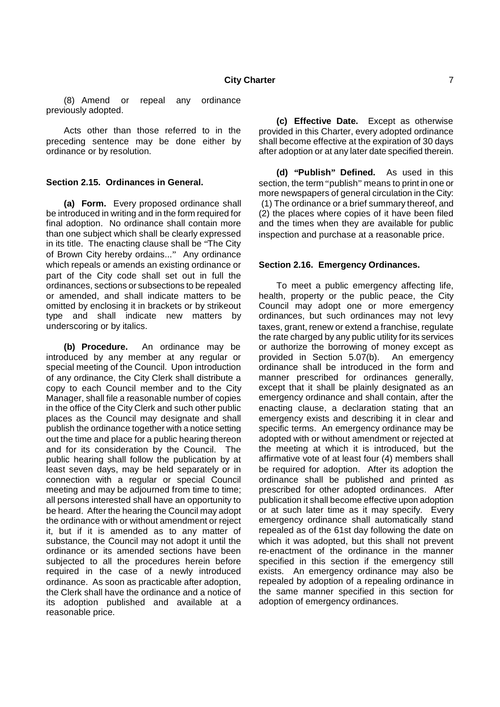(8) Amend or repeal any ordinance previously adopted.

Acts other than those referred to in the preceding sentence may be done either by ordinance or by resolution.

# **Section 2.15. Ordinances in General.**

**(a) Form.** Every proposed ordinance shall be introduced in writing and in the form required for final adoption. No ordinance shall contain more than one subject which shall be clearly expressed in its title. The enacting clause shall be "The City of Brown City hereby ordains..." Any ordinance which repeals or amends an existing ordinance or part of the City code shall set out in full the ordinances, sections or subsections to be repealed or amended, and shall indicate matters to be omitted by enclosing it in brackets or by strikeout type and shall indicate new matters by underscoring or by italics.

**(b) Procedure.** An ordinance may be introduced by any member at any regular or special meeting of the Council. Upon introduction of any ordinance, the City Clerk shall distribute a copy to each Council member and to the City Manager, shall file a reasonable number of copies in the office of the City Clerk and such other public places as the Council may designate and shall publish the ordinance together with a notice setting out the time and place for a public hearing thereon and for its consideration by the Council. The public hearing shall follow the publication by at least seven days, may be held separately or in connection with a regular or special Council meeting and may be adjourned from time to time; all persons interested shall have an opportunity to be heard. After the hearing the Council may adopt the ordinance with or without amendment or reject it, but if it is amended as to any matter of substance, the Council may not adopt it until the ordinance or its amended sections have been subjected to all the procedures herein before required in the case of a newly introduced ordinance. As soon as practicable after adoption, the Clerk shall have the ordinance and a notice of its adoption published and available at a reasonable price.

**(c) Effective Date.** Except as otherwise provided in this Charter, every adopted ordinance shall become effective at the expiration of 30 days after adoption or at any later date specified therein.

**(d) "Publish" Defined.** As used in this section, the term "publish" means to print in one or more newspapers of general circulation in the City: (1) The ordinance or a brief summary thereof, and (2) the places where copies of it have been filed and the times when they are available for public inspection and purchase at a reasonable price.

## **Section 2.16. Emergency Ordinances.**

To meet a public emergency affecting life, health, property or the public peace, the City Council may adopt one or more emergency ordinances, but such ordinances may not levy taxes, grant, renew or extend a franchise, regulate the rate charged by any public utility for its services or authorize the borrowing of money except as provided in Section 5.07(b). An emergency ordinance shall be introduced in the form and manner prescribed for ordinances generally, except that it shall be plainly designated as an emergency ordinance and shall contain, after the enacting clause, a declaration stating that an emergency exists and describing it in clear and specific terms. An emergency ordinance may be adopted with or without amendment or rejected at the meeting at which it is introduced, but the affirmative vote of at least four (4) members shall be required for adoption. After its adoption the ordinance shall be published and printed as prescribed for other adopted ordinances. After publication it shall become effective upon adoption or at such later time as it may specify. Every emergency ordinance shall automatically stand repealed as of the 61st day following the date on which it was adopted, but this shall not prevent re-enactment of the ordinance in the manner specified in this section if the emergency still exists. An emergency ordinance may also be repealed by adoption of a repealing ordinance in the same manner specified in this section for adoption of emergency ordinances.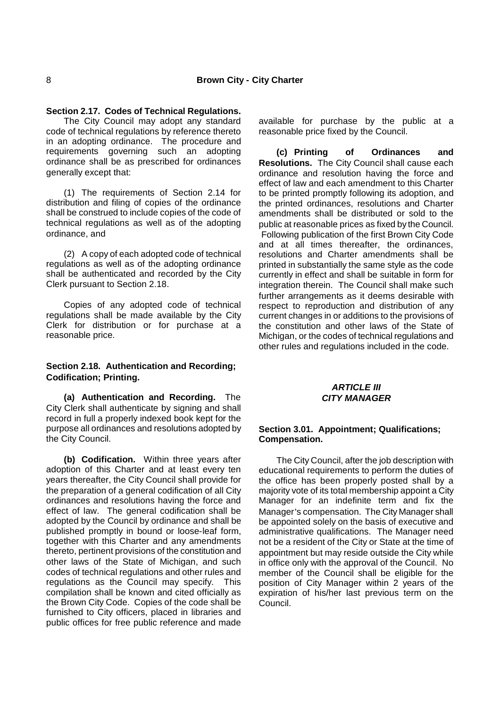# **Section 2.17. Codes of Technical Regulations.**

The City Council may adopt any standard code of technical regulations by reference thereto in an adopting ordinance. The procedure and requirements governing such an adopting ordinance shall be as prescribed for ordinances generally except that:

(1) The requirements of Section 2.14 for distribution and filing of copies of the ordinance shall be construed to include copies of the code of technical regulations as well as of the adopting ordinance, and

(2) A copy of each adopted code of technical regulations as well as of the adopting ordinance shall be authenticated and recorded by the City Clerk pursuant to Section 2.18.

Copies of any adopted code of technical regulations shall be made available by the City Clerk for distribution or for purchase at a reasonable price.

# **Section 2.18. Authentication and Recording; Codification; Printing.**

**(a) Authentication and Recording.** The City Clerk shall authenticate by signing and shall record in full a properly indexed book kept for the purpose all ordinances and resolutions adopted by the City Council.

**(b) Codification.** Within three years after adoption of this Charter and at least every ten years thereafter, the City Council shall provide for the preparation of a general codification of all City ordinances and resolutions having the force and effect of law. The general codification shall be adopted by the Council by ordinance and shall be published promptly in bound or loose-leaf form, together with this Charter and any amendments thereto, pertinent provisions of the constitution and other laws of the State of Michigan, and such codes of technical regulations and other rules and regulations as the Council may specify. This compilation shall be known and cited officially as the Brown City Code. Copies of the code shall be furnished to City officers, placed in libraries and public offices for free public reference and made

available for purchase by the public at a reasonable price fixed by the Council.

**(c) Printing of Ordinances and Resolutions.** The City Council shall cause each ordinance and resolution having the force and effect of law and each amendment to this Charter to be printed promptly following its adoption, and the printed ordinances, resolutions and Charter amendments shall be distributed or sold to the public at reasonable prices as fixed by the Council. Following publication of the first Brown City Code and at all times thereafter, the ordinances, resolutions and Charter amendments shall be printed in substantially the same style as the code currently in effect and shall be suitable in form for integration therein. The Council shall make such further arrangements as it deems desirable with respect to reproduction and distribution of any current changes in or additions to the provisions of the constitution and other laws of the State of Michigan, or the codes of technical regulations and other rules and regulations included in the code.

# *ARTICLE III CITY MANAGER*

# **Section 3.01. Appointment; Qualifications; Compensation.**

The City Council, after the job description with educational requirements to perform the duties of the office has been properly posted shall by a majority vote of its total membership appoint a City Manager for an indefinite term and fix the Manager's compensation. The City Manager shall be appointed solely on the basis of executive and administrative qualifications. The Manager need not be a resident of the City or State at the time of appointment but may reside outside the City while in office only with the approval of the Council. No member of the Council shall be eligible for the position of City Manager within 2 years of the expiration of his/her last previous term on the Council.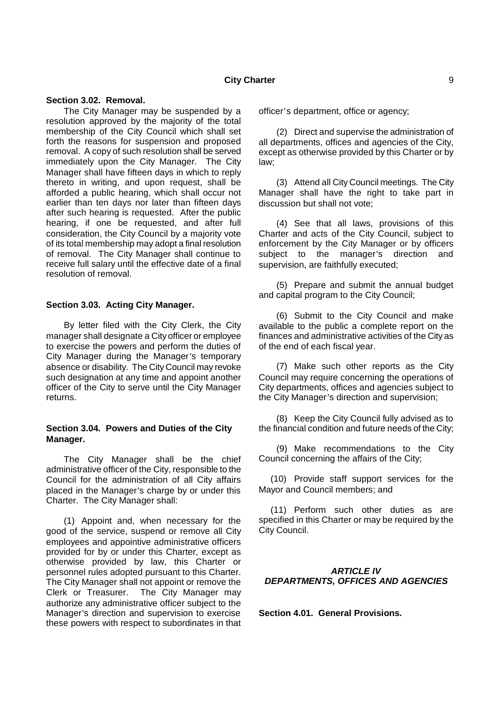## **Section 3.02. Removal.**

The City Manager may be suspended by a resolution approved by the majority of the total membership of the City Council which shall set forth the reasons for suspension and proposed removal. A copy of such resolution shall be served immediately upon the City Manager. The City Manager shall have fifteen days in which to reply thereto in writing, and upon request, shall be afforded a public hearing, which shall occur not earlier than ten days nor later than fifteen days after such hearing is requested. After the public hearing, if one be requested, and after full consideration, the City Council by a majority vote of its total membership may adopt a final resolution of removal. The City Manager shall continue to receive full salary until the effective date of a final resolution of removal.

#### **Section 3.03. Acting City Manager.**

By letter filed with the City Clerk, the City manager shall designate a City officer or employee to exercise the powers and perform the duties of City Manager during the Manager's temporary absence or disability. The City Council may revoke such designation at any time and appoint another officer of the City to serve until the City Manager returns.

# **Section 3.04. Powers and Duties of the City Manager.**

The City Manager shall be the chief administrative officer of the City, responsible to the Council for the administration of all City affairs placed in the Manager's charge by or under this Charter. The City Manager shall:

(1) Appoint and, when necessary for the good of the service, suspend or remove all City employees and appointive administrative officers provided for by or under this Charter, except as otherwise provided by law, this Charter or personnel rules adopted pursuant to this Charter. The City Manager shall not appoint or remove the Clerk or Treasurer. The City Manager may authorize any administrative officer subject to the Manager's direction and supervision to exercise these powers with respect to subordinates in that

officer's department, office or agency;

(2) Direct and supervise the administration of all departments, offices and agencies of the City, except as otherwise provided by this Charter or by law;

(3) Attend all City Council meetings. The City Manager shall have the right to take part in discussion but shall not vote;

(4) See that all laws, provisions of this Charter and acts of the City Council, subject to enforcement by the City Manager or by officers subject to the manager's direction and supervision, are faithfully executed;

(5) Prepare and submit the annual budget and capital program to the City Council;

(6) Submit to the City Council and make available to the public a complete report on the finances and administrative activities of the City as of the end of each fiscal year.

(7) Make such other reports as the City Council may require concerning the operations of City departments, offices and agencies subject to the City Manager's direction and supervision;

(8) Keep the City Council fully advised as to the financial condition and future needs of the City;

(9) Make recommendations to the City Council concerning the affairs of the City;

(10) Provide staff support services for the Mayor and Council members; and

(11) Perform such other duties as are specified in this Charter or may be required by the City Council.

# *ARTICLE IV DEPARTMENTS, OFFICES AND AGENCIES*

**Section 4.01. General Provisions.**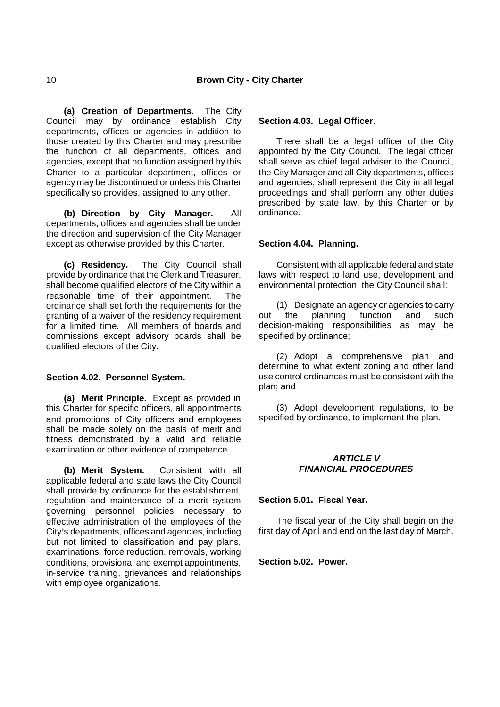**(a) Creation of Departments.** The City Council may by ordinance establish City departments, offices or agencies in addition to those created by this Charter and may prescribe the function of all departments, offices and agencies, except that no function assigned by this Charter to a particular department, offices or agency may be discontinued or unless this Charter specifically so provides, assigned to any other.

**(b) Direction by City Manager.** All departments, offices and agencies shall be under the direction and supervision of the City Manager except as otherwise provided by this Charter.

**(c) Residency.** The City Council shall provide by ordinance that the Clerk and Treasurer, shall become qualified electors of the City within a reasonable time of their appointment. The ordinance shall set forth the requirements for the granting of a waiver of the residency requirement for a limited time. All members of boards and commissions except advisory boards shall be qualified electors of the City.

## **Section 4.02. Personnel System.**

**(a) Merit Principle.** Except as provided in this Charter for specific officers, all appointments and promotions of City officers and employees shall be made solely on the basis of merit and fitness demonstrated by a valid and reliable examination or other evidence of competence.

**(b) Merit System.** Consistent with all applicable federal and state laws the City Council shall provide by ordinance for the establishment, regulation and maintenance of a merit system governing personnel policies necessary to effective administration of the employees of the City's departments, offices and agencies, including but not limited to classification and pay plans, examinations, force reduction, removals, working conditions, provisional and exempt appointments, in-service training, grievances and relationships with employee organizations.

# **Section 4.03. Legal Officer.**

There shall be a legal officer of the City appointed by the City Council. The legal officer shall serve as chief legal adviser to the Council, the City Manager and all City departments, offices and agencies, shall represent the City in all legal proceedings and shall perform any other duties prescribed by state law, by this Charter or by ordinance.

## **Section 4.04. Planning.**

Consistent with all applicable federal and state laws with respect to land use, development and environmental protection, the City Council shall:

(1) Designate an agency or agencies to carry out the planning function and such decision-making responsibilities as may be specified by ordinance;

(2) Adopt a comprehensive plan and determine to what extent zoning and other land use control ordinances must be consistent with the plan; and

(3) Adopt development regulations, to be specified by ordinance, to implement the plan.

# *ARTICLE V FINANCIAL PROCEDURES*

**Section 5.01. Fiscal Year.**

The fiscal year of the City shall begin on the first day of April and end on the last day of March.

**Section 5.02. Power.**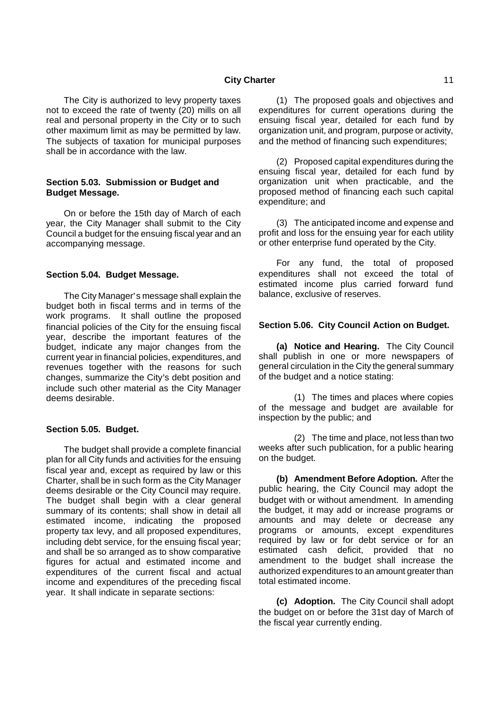#### **City Charter** 11

The City is authorized to levy property taxes not to exceed the rate of twenty (20) mills on all real and personal property in the City or to such other maximum limit as may be permitted by law. The subjects of taxation for municipal purposes shall be in accordance with the law.

# **Section 5.03. Submission or Budget and Budget Message.**

On or before the 15th day of March of each year, the City Manager shall submit to the City Council a budget for the ensuing fiscal year and an accompanying message.

#### **Section 5.04. Budget Message.**

The City Manager's message shall explain the budget both in fiscal terms and in terms of the work programs. It shall outline the proposed financial policies of the City for the ensuing fiscal year, describe the important features of the budget, indicate any major changes from the current year in financial policies, expenditures, and revenues together with the reasons for such changes, summarize the City's debt position and include such other material as the City Manager deems desirable.

# **Section 5.05. Budget.**

The budget shall provide a complete financial plan for all City funds and activities for the ensuing fiscal year and, except as required by law or this Charter, shall be in such form as the City Manager deems desirable or the City Council may require. The budget shall begin with a clear general summary of its contents; shall show in detail all estimated income, indicating the proposed property tax levy, and all proposed expenditures, including debt service, for the ensuing fiscal year; and shall be so arranged as to show comparative figures for actual and estimated income and expenditures of the current fiscal and actual income and expenditures of the preceding fiscal year. It shall indicate in separate sections:

(1) The proposed goals and objectives and expenditures for current operations during the ensuing fiscal year, detailed for each fund by organization unit, and program, purpose or activity, and the method of financing such expenditures;

(2) Proposed capital expenditures during the ensuing fiscal year, detailed for each fund by organization unit when practicable, and the proposed method of financing each such capital expenditure; and

(3) The anticipated income and expense and profit and loss for the ensuing year for each utility or other enterprise fund operated by the City.

For any fund, the total of proposed expenditures shall not exceed the total of estimated income plus carried forward fund balance, exclusive of reserves.

#### **Section 5.06. City Council Action on Budget.**

**(a) Notice and Hearing.** The City Council shall publish in one or more newspapers of general circulation in the City the general summary of the budget and a notice stating:

(1) The times and places where copies of the message and budget are available for inspection by the public; and

(2) The time and place, not less than two weeks after such publication, for a public hearing on the budget.

**(b) Amendment Before Adoption.** After the public hearing, the City Council may adopt the budget with or without amendment. In amending the budget, it may add or increase programs or amounts and may delete or decrease any programs or amounts, except expenditures required by law or for debt service or for an estimated cash deficit, provided that no amendment to the budget shall increase the authorized expenditures to an amount greater than total estimated income.

**(c) Adoption.** The City Council shall adopt the budget on or before the 31st day of March of the fiscal year currently ending.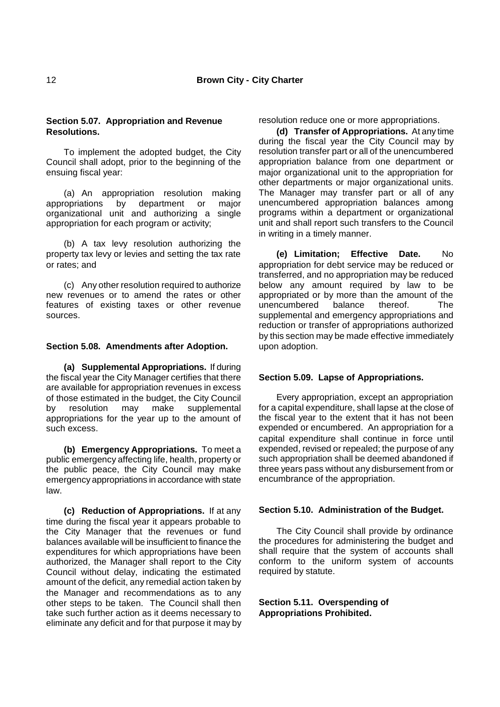# **Section 5.07. Appropriation and Revenue Resolutions.**

To implement the adopted budget, the City Council shall adopt, prior to the beginning of the ensuing fiscal year:

(a) An appropriation resolution making appropriations by department or major organizational unit and authorizing a single appropriation for each program or activity;

(b) A tax levy resolution authorizing the property tax levy or levies and setting the tax rate or rates; and

(c) Any other resolution required to authorize new revenues or to amend the rates or other features of existing taxes or other revenue sources.

# **Section 5.08. Amendments after Adoption.**

**(a) Supplemental Appropriations.** If during the fiscal year the City Manager certifies that there are available for appropriation revenues in excess of those estimated in the budget, the City Council by resolution may make supplemental appropriations for the year up to the amount of such excess.

**(b) Emergency Appropriations.** To meet a public emergency affecting life, health, property or the public peace, the City Council may make emergency appropriations in accordance with state law.

**(c) Reduction of Appropriations.** If at any time during the fiscal year it appears probable to the City Manager that the revenues or fund balances available will be insufficient to finance the expenditures for which appropriations have been authorized, the Manager shall report to the City Council without delay, indicating the estimated amount of the deficit, any remedial action taken by the Manager and recommendations as to any other steps to be taken. The Council shall then take such further action as it deems necessary to eliminate any deficit and for that purpose it may by resolution reduce one or more appropriations.

**(d) Transfer of Appropriations.** At any time during the fiscal year the City Council may by resolution transfer part or all of the unencumbered appropriation balance from one department or major organizational unit to the appropriation for other departments or major organizational units. The Manager may transfer part or all of any unencumbered appropriation balances among programs within a department or organizational unit and shall report such transfers to the Council in writing in a timely manner.

**(e) Limitation; Effective Date.** No appropriation for debt service may be reduced or transferred, and no appropriation may be reduced below any amount required by law to be appropriated or by more than the amount of the unencumbered balance thereof. The supplemental and emergency appropriations and reduction or transfer of appropriations authorized by this section may be made effective immediately upon adoption.

# **Section 5.09. Lapse of Appropriations.**

Every appropriation, except an appropriation for a capital expenditure, shall lapse at the close of the fiscal year to the extent that it has not been expended or encumbered. An appropriation for a capital expenditure shall continue in force until expended, revised or repealed; the purpose of any such appropriation shall be deemed abandoned if three years pass without any disbursement from or encumbrance of the appropriation.

# **Section 5.10. Administration of the Budget.**

The City Council shall provide by ordinance the procedures for administering the budget and shall require that the system of accounts shall conform to the uniform system of accounts required by statute.

**Section 5.11. Overspending of Appropriations Prohibited.**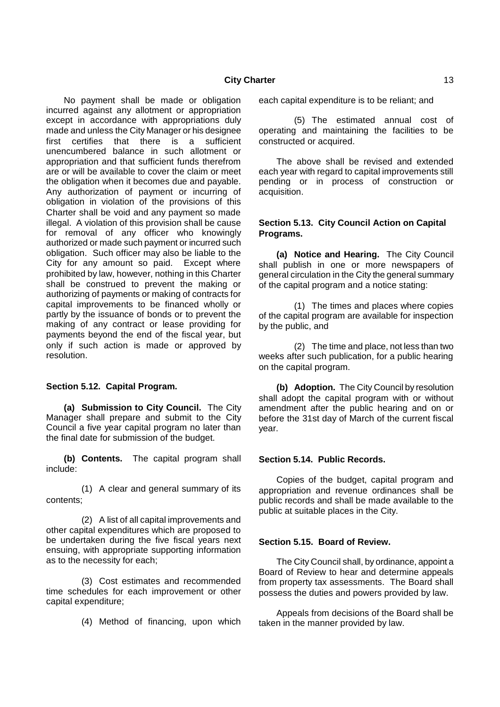No payment shall be made or obligation incurred against any allotment or appropriation except in accordance with appropriations duly made and unless the City Manager or his designee first certifies that there is a sufficient unencumbered balance in such allotment or appropriation and that sufficient funds therefrom are or will be available to cover the claim or meet the obligation when it becomes due and payable. Any authorization of payment or incurring of obligation in violation of the provisions of this Charter shall be void and any payment so made illegal. A violation of this provision shall be cause for removal of any officer who knowingly authorized or made such payment or incurred such obligation. Such officer may also be liable to the City for any amount so paid. Except where prohibited by law, however, nothing in this Charter shall be construed to prevent the making or authorizing of payments or making of contracts for capital improvements to be financed wholly or partly by the issuance of bonds or to prevent the making of any contract or lease providing for payments beyond the end of the fiscal year, but only if such action is made or approved by resolution.

# **Section 5.12. Capital Program.**

**(a) Submission to City Council.** The City Manager shall prepare and submit to the City Council a five year capital program no later than the final date for submission of the budget.

**(b) Contents.** The capital program shall include:

(1) A clear and general summary of its contents;

(2) A list of all capital improvements and other capital expenditures which are proposed to be undertaken during the five fiscal years next ensuing, with appropriate supporting information as to the necessity for each;

(3) Cost estimates and recommended time schedules for each improvement or other capital expenditure;

(4) Method of financing, upon which

each capital expenditure is to be reliant; and

(5) The estimated annual cost of operating and maintaining the facilities to be constructed or acquired.

The above shall be revised and extended each year with regard to capital improvements still pending or in process of construction or acquisition.

# **Section 5.13. City Council Action on Capital Programs.**

**(a) Notice and Hearing.** The City Council shall publish in one or more newspapers of general circulation in the City the general summary of the capital program and a notice stating:

(1) The times and places where copies of the capital program are available for inspection by the public, and

(2) The time and place, not less than two weeks after such publication, for a public hearing on the capital program.

**(b) Adoption.** The City Council by resolution shall adopt the capital program with or without amendment after the public hearing and on or before the 31st day of March of the current fiscal year.

## **Section 5.14. Public Records.**

Copies of the budget, capital program and appropriation and revenue ordinances shall be public records and shall be made available to the public at suitable places in the City.

#### **Section 5.15. Board of Review.**

The City Council shall, by ordinance, appoint a Board of Review to hear and determine appeals from property tax assessments. The Board shall possess the duties and powers provided by law.

Appeals from decisions of the Board shall be taken in the manner provided by law.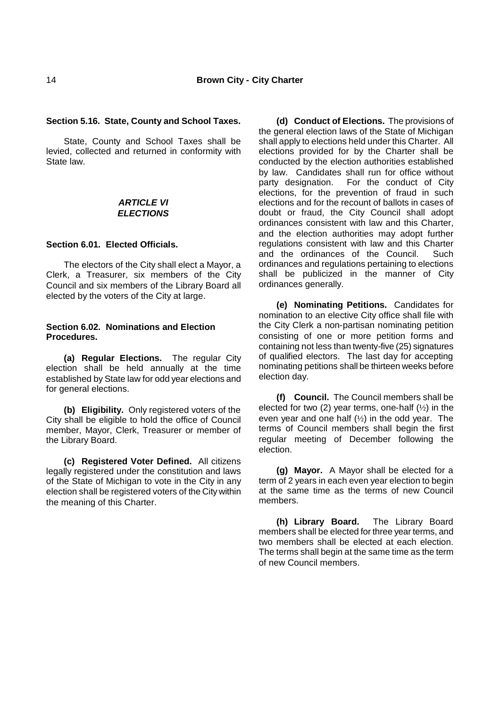# **Section 5.16. State, County and School Taxes.**

State, County and School Taxes shall be levied, collected and returned in conformity with State law.

# *ARTICLE VI ELECTIONS*

# **Section 6.01. Elected Officials.**

The electors of the City shall elect a Mayor, a Clerk, a Treasurer, six members of the City Council and six members of the Library Board all elected by the voters of the City at large.

# **Section 6.02. Nominations and Election Procedures.**

**(a) Regular Elections.** The regular City election shall be held annually at the time established by State law for odd year elections and for general elections.

**(b) Eligibility.** Only registered voters of the City shall be eligible to hold the office of Council member, Mayor, Clerk, Treasurer or member of the Library Board.

**(c) Registered Voter Defined.** All citizens legally registered under the constitution and laws of the State of Michigan to vote in the City in any election shall be registered voters of the City within the meaning of this Charter.

**(d) Conduct of Elections.** The provisions of the general election laws of the State of Michigan shall apply to elections held under this Charter. All elections provided for by the Charter shall be conducted by the election authorities established by law. Candidates shall run for office without party designation. For the conduct of City elections, for the prevention of fraud in such elections and for the recount of ballots in cases of doubt or fraud, the City Council shall adopt ordinances consistent with law and this Charter, and the election authorities may adopt further regulations consistent with law and this Charter and the ordinances of the Council. Such ordinances and regulations pertaining to elections shall be publicized in the manner of City ordinances generally.

**(e) Nominating Petitions.** Candidates for nomination to an elective City office shall file with the City Clerk a non-partisan nominating petition consisting of one or more petition forms and containing not less than twenty-five (25) signatures of qualified electors. The last day for accepting nominating petitions shall be thirteen weeks before election day.

**(f) Council.** The Council members shall be elected for two (2) year terms, one-half  $(½)$  in the even year and one half (½) in the odd year. The terms of Council members shall begin the first regular meeting of December following the election.

**(g) Mayor.** A Mayor shall be elected for a term of 2 years in each even year election to begin at the same time as the terms of new Council members.

**(h) Library Board.** The Library Board members shall be elected for three year terms, and two members shall be elected at each election. The terms shall begin at the same time as the term of new Council members.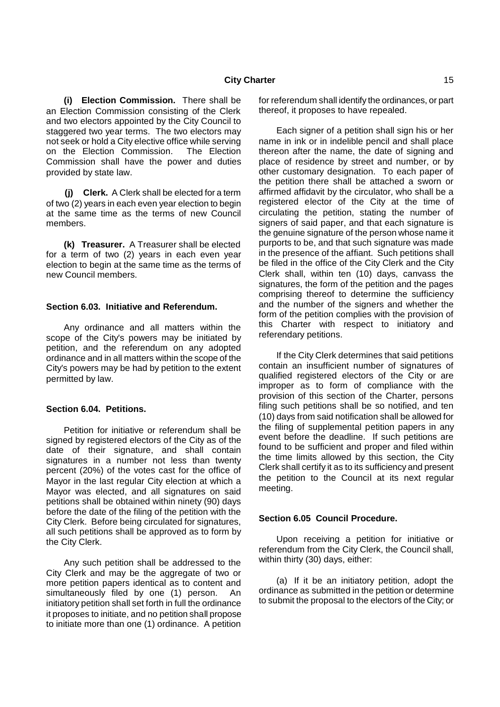**(i) Election Commission.** There shall be an Election Commission consisting of the Clerk and two electors appointed by the City Council to staggered two year terms. The two electors may not seek or hold a City elective office while serving on the Election Commission. The Election Commission shall have the power and duties provided by state law.

**(j) Clerk.** A Clerk shall be elected for a term of two (2) years in each even year election to begin at the same time as the terms of new Council members.

**(k) Treasurer.** A Treasurer shall be elected for a term of two (2) years in each even year election to begin at the same time as the terms of new Council members.

#### **Section 6.03. Initiative and Referendum.**

Any ordinance and all matters within the scope of the City's powers may be initiated by petition, and the referendum on any adopted ordinance and in all matters within the scope of the City's powers may be had by petition to the extent permitted by law.

#### **Section 6.04. Petitions.**

Petition for initiative or referendum shall be signed by registered electors of the City as of the date of their signature, and shall contain signatures in a number not less than twenty percent (20%) of the votes cast for the office of Mayor in the last regular City election at which a Mayor was elected, and all signatures on said petitions shall be obtained within ninety (90) days before the date of the filing of the petition with the City Clerk. Before being circulated for signatures, all such petitions shall be approved as to form by the City Clerk.

Any such petition shall be addressed to the City Clerk and may be the aggregate of two or more petition papers identical as to content and simultaneously filed by one (1) person. An initiatory petition shall set forth in full the ordinance it proposes to initiate, and no petition shall propose to initiate more than one (1) ordinance. A petition

for referendum shall identify the ordinances, or part thereof, it proposes to have repealed.

Each signer of a petition shall sign his or her name in ink or in indelible pencil and shall place thereon after the name, the date of signing and place of residence by street and number, or by other customary designation. To each paper of the petition there shall be attached a sworn or affirmed affidavit by the circulator, who shall be a registered elector of the City at the time of circulating the petition, stating the number of signers of said paper, and that each signature is the genuine signature of the person whose name it purports to be, and that such signature was made in the presence of the affiant. Such petitions shall be filed in the office of the City Clerk and the City Clerk shall, within ten (10) days, canvass the signatures, the form of the petition and the pages comprising thereof to determine the sufficiency and the number of the signers and whether the form of the petition complies with the provision of this Charter with respect to initiatory and referendary petitions.

If the City Clerk determines that said petitions contain an insufficient number of signatures of qualified registered electors of the City or are improper as to form of compliance with the provision of this section of the Charter, persons filing such petitions shall be so notified, and ten (10) days from said notification shall be allowed for the filing of supplemental petition papers in any event before the deadline. If such petitions are found to be sufficient and proper and filed within the time limits allowed by this section, the City Clerk shall certify it as to its sufficiency and present the petition to the Council at its next regular meeting.

### **Section 6.05 Council Procedure.**

Upon receiving a petition for initiative or referendum from the City Clerk, the Council shall, within thirty (30) days, either:

(a) If it be an initiatory petition, adopt the ordinance as submitted in the petition or determine to submit the proposal to the electors of the City; or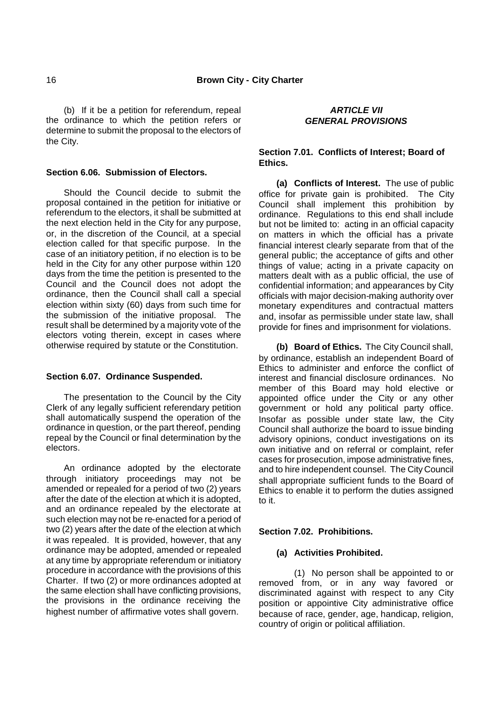(b) If it be a petition for referendum, repeal the ordinance to which the petition refers or determine to submit the proposal to the electors of the City.

#### **Section 6.06. Submission of Electors.**

Should the Council decide to submit the proposal contained in the petition for initiative or referendum to the electors, it shall be submitted at the next election held in the City for any purpose, or, in the discretion of the Council, at a special election called for that specific purpose. In the case of an initiatory petition, if no election is to be held in the City for any other purpose within 120 days from the time the petition is presented to the Council and the Council does not adopt the ordinance, then the Council shall call a special election within sixty (60) days from such time for the submission of the initiative proposal. The result shall be determined by a majority vote of the electors voting therein, except in cases where otherwise required by statute or the Constitution.

#### **Section 6.07. Ordinance Suspended.**

The presentation to the Council by the City Clerk of any legally sufficient referendary petition shall automatically suspend the operation of the ordinance in question, or the part thereof, pending repeal by the Council or final determination by the electors.

An ordinance adopted by the electorate through initiatory proceedings may not be amended or repealed for a period of two (2) years after the date of the election at which it is adopted, and an ordinance repealed by the electorate at such election may not be re-enacted for a period of two (2) years after the date of the election at which it was repealed. It is provided, however, that any ordinance may be adopted, amended or repealed at any time by appropriate referendum or initiatory procedure in accordance with the provisions of this Charter. If two (2) or more ordinances adopted at the same election shall have conflicting provisions, the provisions in the ordinance receiving the highest number of affirmative votes shall govern.

# *ARTICLE VII GENERAL PROVISIONS*

# **Section 7.01. Conflicts of Interest; Board of Ethics.**

**(a) Conflicts of Interest.** The use of public office for private gain is prohibited. The City Council shall implement this prohibition by ordinance. Regulations to this end shall include but not be limited to: acting in an official capacity on matters in which the official has a private financial interest clearly separate from that of the general public; the acceptance of gifts and other things of value; acting in a private capacity on matters dealt with as a public official, the use of confidential information; and appearances by City officials with major decision-making authority over monetary expenditures and contractual matters and, insofar as permissible under state law, shall provide for fines and imprisonment for violations.

**(b) Board of Ethics.** The City Council shall, by ordinance, establish an independent Board of Ethics to administer and enforce the conflict of interest and financial disclosure ordinances. No member of this Board may hold elective or appointed office under the City or any other government or hold any political party office. Insofar as possible under state law, the City Council shall authorize the board to issue binding advisory opinions, conduct investigations on its own initiative and on referral or complaint, refer cases for prosecution, impose administrative fines, and to hire independent counsel. The City Council shall appropriate sufficient funds to the Board of Ethics to enable it to perform the duties assigned to it.

#### **Section 7.02. Prohibitions.**

#### **(a) Activities Prohibited.**

(1) No person shall be appointed to or removed from, or in any way favored or discriminated against with respect to any City position or appointive City administrative office because of race, gender, age, handicap, religion, country of origin or political affiliation.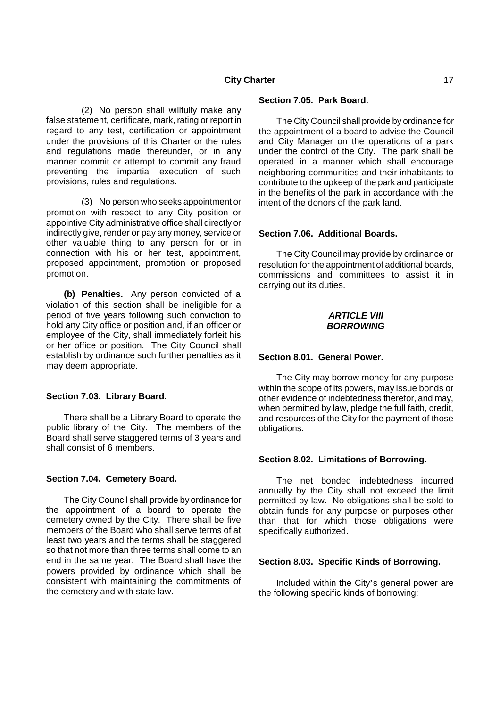(2) No person shall willfully make any false statement, certificate, mark, rating or report in regard to any test, certification or appointment under the provisions of this Charter or the rules and regulations made thereunder, or in any manner commit or attempt to commit any fraud preventing the impartial execution of such provisions, rules and regulations.

(3) No person who seeks appointment or promotion with respect to any City position or appointive City administrative office shall directly or indirectly give, render or pay any money, service or other valuable thing to any person for or in connection with his or her test, appointment, proposed appointment, promotion or proposed promotion.

**(b) Penalties.** Any person convicted of a violation of this section shall be ineligible for a period of five years following such conviction to hold any City office or position and, if an officer or employee of the City, shall immediately forfeit his or her office or position. The City Council shall establish by ordinance such further penalties as it may deem appropriate.

# **Section 7.03. Library Board.**

There shall be a Library Board to operate the public library of the City. The members of the Board shall serve staggered terms of 3 years and shall consist of 6 members.

## **Section 7.04. Cemetery Board.**

The City Council shall provide by ordinance for the appointment of a board to operate the cemetery owned by the City. There shall be five members of the Board who shall serve terms of at least two years and the terms shall be staggered so that not more than three terms shall come to an end in the same year. The Board shall have the powers provided by ordinance which shall be consistent with maintaining the commitments of the cemetery and with state law.

## **Section 7.05. Park Board.**

The City Council shall provide by ordinance for the appointment of a board to advise the Council and City Manager on the operations of a park under the control of the City. The park shall be operated in a manner which shall encourage neighboring communities and their inhabitants to contribute to the upkeep of the park and participate in the benefits of the park in accordance with the intent of the donors of the park land.

#### **Section 7.06. Additional Boards.**

The City Council may provide by ordinance or resolution for the appointment of additional boards, commissions and committees to assist it in carrying out its duties.

## *ARTICLE VIII BORROWING*

#### **Section 8.01. General Power.**

The City may borrow money for any purpose within the scope of its powers, may issue bonds or other evidence of indebtedness therefor, and may, when permitted by law, pledge the full faith, credit, and resources of the City for the payment of those obligations.

#### **Section 8.02. Limitations of Borrowing.**

The net bonded indebtedness incurred annually by the City shall not exceed the limit permitted by law. No obligations shall be sold to obtain funds for any purpose or purposes other than that for which those obligations were specifically authorized.

#### **Section 8.03. Specific Kinds of Borrowing.**

Included within the City's general power are the following specific kinds of borrowing: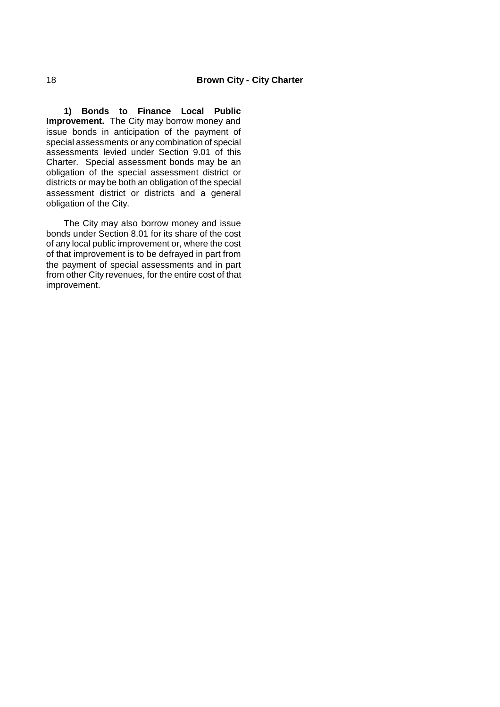**1) Bonds to Finance Local Public Improvement.** The City may borrow money and issue bonds in anticipation of the payment of special assessments or any combination of special assessments levied under Section 9.01 of this Charter. Special assessment bonds may be an obligation of the special assessment district or districts or may be both an obligation of the special assessment district or districts and a general obligation of the City.

The City may also borrow money and issue bonds under Section 8.01 for its share of the cost of any local public improvement or, where the cost of that improvement is to be defrayed in part from the payment of special assessments and in part from other City revenues, for the entire cost of that improvement.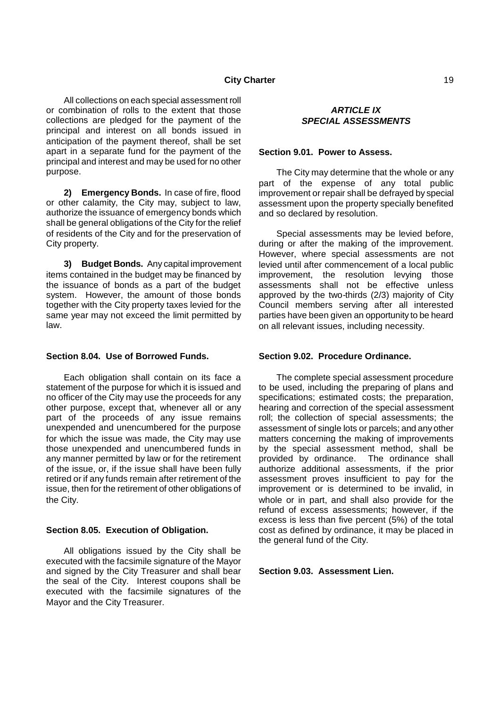All collections on each special assessment roll or combination of rolls to the extent that those collections are pledged for the payment of the principal and interest on all bonds issued in anticipation of the payment thereof, shall be set apart in a separate fund for the payment of the principal and interest and may be used for no other purpose.

**2) Emergency Bonds.** In case of fire, flood or other calamity, the City may, subject to law, authorize the issuance of emergency bonds which shall be general obligations of the City for the relief of residents of the City and for the preservation of City property.

**3) Budget Bonds.** Any capital improvement items contained in the budget may be financed by the issuance of bonds as a part of the budget system. However, the amount of those bonds together with the City property taxes levied for the same year may not exceed the limit permitted by law.

## **Section 8.04. Use of Borrowed Funds.**

Each obligation shall contain on its face a statement of the purpose for which it is issued and no officer of the City may use the proceeds for any other purpose, except that, whenever all or any part of the proceeds of any issue remains unexpended and unencumbered for the purpose for which the issue was made, the City may use those unexpended and unencumbered funds in any manner permitted by law or for the retirement of the issue, or, if the issue shall have been fully retired or if any funds remain after retirement of the issue, then for the retirement of other obligations of the City.

## **Section 8.05. Execution of Obligation.**

All obligations issued by the City shall be executed with the facsimile signature of the Mayor and signed by the City Treasurer and shall bear the seal of the City. Interest coupons shall be executed with the facsimile signatures of the Mayor and the City Treasurer.

# *ARTICLE IX SPECIAL ASSESSMENTS*

# **Section 9.01. Power to Assess.**

The City may determine that the whole or any part of the expense of any total public improvement or repair shall be defrayed by special assessment upon the property specially benefited and so declared by resolution.

Special assessments may be levied before, during or after the making of the improvement. However, where special assessments are not levied until after commencement of a local public improvement, the resolution levying those assessments shall not be effective unless approved by the two-thirds (2/3) majority of City Council members serving after all interested parties have been given an opportunity to be heard on all relevant issues, including necessity.

# **Section 9.02. Procedure Ordinance.**

The complete special assessment procedure to be used, including the preparing of plans and specifications; estimated costs; the preparation, hearing and correction of the special assessment roll; the collection of special assessments; the assessment of single lots or parcels; and any other matters concerning the making of improvements by the special assessment method, shall be provided by ordinance. The ordinance shall authorize additional assessments, if the prior assessment proves insufficient to pay for the improvement or is determined to be invalid, in whole or in part, and shall also provide for the refund of excess assessments; however, if the excess is less than five percent (5%) of the total cost as defined by ordinance, it may be placed in the general fund of the City.

# **Section 9.03. Assessment Lien.**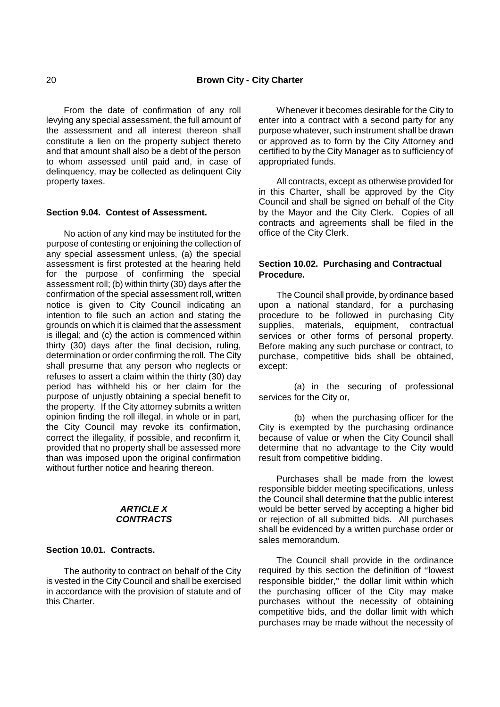From the date of confirmation of any roll levying any special assessment, the full amount of the assessment and all interest thereon shall constitute a lien on the property subject thereto and that amount shall also be a debt of the person to whom assessed until paid and, in case of delinquency, may be collected as delinquent City property taxes.

## **Section 9.04. Contest of Assessment.**

No action of any kind may be instituted for the purpose of contesting or enjoining the collection of any special assessment unless, (a) the special assessment is first protested at the hearing held for the purpose of confirming the special assessment roll; (b) within thirty (30) days after the confirmation of the special assessment roll, written notice is given to City Council indicating an intention to file such an action and stating the grounds on which it is claimed that the assessment is illegal; and (c) the action is commenced within thirty (30) days after the final decision, ruling, determination or order confirming the roll. The City shall presume that any person who neglects or refuses to assert a claim within the thirty (30) day period has withheld his or her claim for the purpose of unjustly obtaining a special benefit to the property. If the City attorney submits a written opinion finding the roll illegal, in whole or in part, the City Council may revoke its confirmation, correct the illegality, if possible, and reconfirm it, provided that no property shall be assessed more than was imposed upon the original confirmation without further notice and hearing thereon.

# *ARTICLE X CONTRACTS*

# **Section 10.01. Contracts.**

The authority to contract on behalf of the City is vested in the City Council and shall be exercised in accordance with the provision of statute and of this Charter.

Whenever it becomes desirable for the City to enter into a contract with a second party for any purpose whatever, such instrument shall be drawn or approved as to form by the City Attorney and certified to by the City Manager as to sufficiency of appropriated funds.

All contracts, except as otherwise provided for in this Charter, shall be approved by the City Council and shall be signed on behalf of the City by the Mayor and the City Clerk. Copies of all contracts and agreements shall be filed in the office of the City Clerk.

# **Section 10.02. Purchasing and Contractual Procedure.**

The Council shall provide, by ordinance based upon a national standard, for a purchasing procedure to be followed in purchasing City supplies, materials, equipment, contractual services or other forms of personal property. Before making any such purchase or contract, to purchase, competitive bids shall be obtained, except:

(a) in the securing of professional services for the City or,

(b) when the purchasing officer for the City is exempted by the purchasing ordinance because of value or when the City Council shall determine that no advantage to the City would result from competitive bidding.

Purchases shall be made from the lowest responsible bidder meeting specifications, unless the Council shall determine that the public interest would be better served by accepting a higher bid or rejection of all submitted bids. All purchases shall be evidenced by a written purchase order or sales memorandum.

The Council shall provide in the ordinance required by this section the definition of "lowest responsible bidder," the dollar limit within which the purchasing officer of the City may make purchases without the necessity of obtaining competitive bids, and the dollar limit with which purchases may be made without the necessity of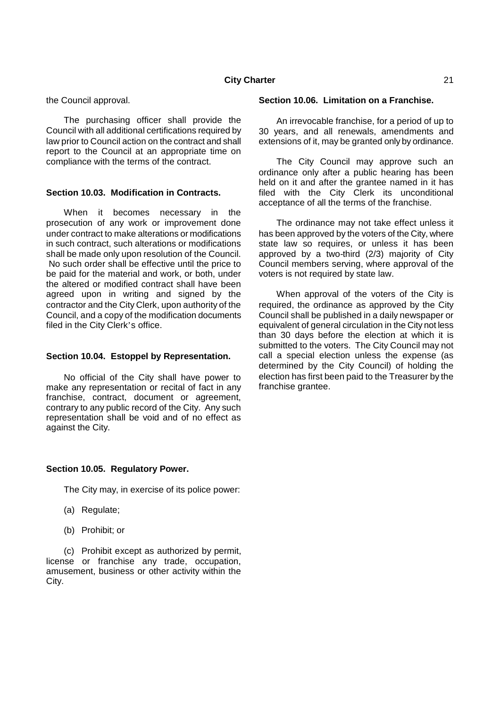the Council approval.

The purchasing officer shall provide the Council with all additional certifications required by law prior to Council action on the contract and shall report to the Council at an appropriate time on compliance with the terms of the contract.

# **Section 10.03. Modification in Contracts.**

When it becomes necessary in the prosecution of any work or improvement done under contract to make alterations or modifications in such contract, such alterations or modifications shall be made only upon resolution of the Council. No such order shall be effective until the price to be paid for the material and work, or both, under the altered or modified contract shall have been agreed upon in writing and signed by the contractor and the City Clerk, upon authority of the Council, and a copy of the modification documents filed in the City Clerk's office.

# **Section 10.04. Estoppel by Representation.**

No official of the City shall have power to make any representation or recital of fact in any franchise, contract, document or agreement, contrary to any public record of the City. Any such representation shall be void and of no effect as against the City.

# **Section 10.05. Regulatory Power.**

The City may, in exercise of its police power:

- (a) Regulate;
- (b) Prohibit; or

(c) Prohibit except as authorized by permit, license or franchise any trade, occupation, amusement, business or other activity within the City.

# **Section 10.06. Limitation on a Franchise.**

An irrevocable franchise, for a period of up to 30 years, and all renewals, amendments and extensions of it, may be granted only by ordinance.

The City Council may approve such an ordinance only after a public hearing has been held on it and after the grantee named in it has filed with the City Clerk its unconditional acceptance of all the terms of the franchise.

The ordinance may not take effect unless it has been approved by the voters of the City, where state law so requires, or unless it has been approved by a two-third (2/3) majority of City Council members serving, where approval of the voters is not required by state law.

When approval of the voters of the City is required, the ordinance as approved by the City Council shall be published in a daily newspaper or equivalent of general circulation in the City not less than 30 days before the election at which it is submitted to the voters. The City Council may not call a special election unless the expense (as determined by the City Council) of holding the election has first been paid to the Treasurer by the franchise grantee.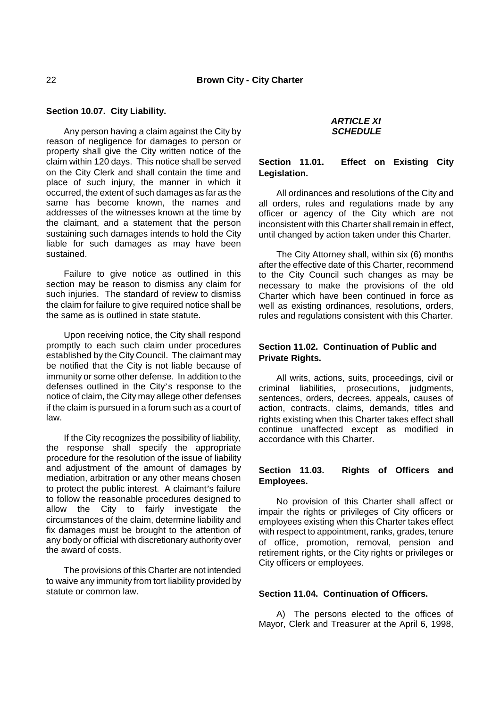## **Section 10.07. City Liability.**

Any person having a claim against the City by reason of negligence for damages to person or property shall give the City written notice of the claim within 120 days. This notice shall be served on the City Clerk and shall contain the time and place of such injury, the manner in which it occurred, the extent of such damages as far as the same has become known, the names and addresses of the witnesses known at the time by the claimant, and a statement that the person sustaining such damages intends to hold the City liable for such damages as may have been sustained.

Failure to give notice as outlined in this section may be reason to dismiss any claim for such injuries. The standard of review to dismiss the claim for failure to give required notice shall be the same as is outlined in state statute.

Upon receiving notice, the City shall respond promptly to each such claim under procedures established by the City Council. The claimant may be notified that the City is not liable because of immunity or some other defense. In addition to the defenses outlined in the City's response to the notice of claim, the City may allege other defenses if the claim is pursued in a forum such as a court of law.

If the City recognizes the possibility of liability, the response shall specify the appropriate procedure for the resolution of the issue of liability and adjustment of the amount of damages by mediation, arbitration or any other means chosen to protect the public interest. A claimant's failure to follow the reasonable procedures designed to allow the City to fairly investigate the circumstances of the claim, determine liability and fix damages must be brought to the attention of any body or official with discretionary authority over the award of costs.

The provisions of this Charter are not intended to waive any immunity from tort liability provided by statute or common law.

# *ARTICLE XI SCHEDULE*

# **Section 11.01. Effect on Existing City Legislation.**

All ordinances and resolutions of the City and all orders, rules and regulations made by any officer or agency of the City which are not inconsistent with this Charter shall remain in effect, until changed by action taken under this Charter.

The City Attorney shall, within six (6) months after the effective date of this Charter, recommend to the City Council such changes as may be necessary to make the provisions of the old Charter which have been continued in force as well as existing ordinances, resolutions, orders, rules and regulations consistent with this Charter.

# **Section 11.02. Continuation of Public and Private Rights.**

All writs, actions, suits, proceedings, civil or criminal liabilities, prosecutions, judgments, sentences, orders, decrees, appeals, causes of action, contracts, claims, demands, titles and rights existing when this Charter takes effect shall continue unaffected except as modified in accordance with this Charter.

# **Section 11.03. Rights of Officers and Employees.**

No provision of this Charter shall affect or impair the rights or privileges of City officers or employees existing when this Charter takes effect with respect to appointment, ranks, grades, tenure of office, promotion, removal, pension and retirement rights, or the City rights or privileges or City officers or employees.

# **Section 11.04. Continuation of Officers.**

A) The persons elected to the offices of Mayor, Clerk and Treasurer at the April 6, 1998,